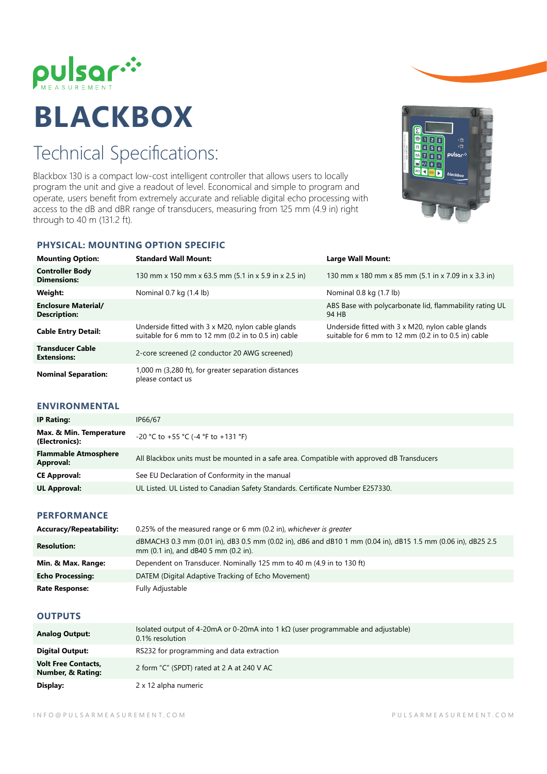

# **BLACKBOX**

## Technical Specifications:

Blackbox 130 is a compact low-cost intelligent controller that allows users to locally program the unit and give a readout of level. Economical and simple to program and operate, users benefit from extremely accurate and reliable digital echo processing with access to the dB and dBR range of transducers, measuring from 125 mm (4.9 in) right through to 40 m (131.2 ft).



### **PHYSICAL: MOUNTING OPTION SPECIFIC**

| <b>Mounting Option:</b>                           | <b>Standard Wall Mount:</b>                                                                              | Large Wall Mount:                                                                                        |
|---------------------------------------------------|----------------------------------------------------------------------------------------------------------|----------------------------------------------------------------------------------------------------------|
| <b>Controller Body</b><br><b>Dimensions:</b>      | 130 mm x 150 mm x 63.5 mm (5.1 in x 5.9 in x 2.5 in)                                                     | 130 mm x 180 mm x 85 mm (5.1 in x 7.09 in x 3.3 in)                                                      |
| Weight:                                           | Nominal 0.7 kg (1.4 lb)                                                                                  | Nominal 0.8 kg (1.7 lb)                                                                                  |
| <b>Enclosure Material/</b><br><b>Description:</b> |                                                                                                          | ABS Base with polycarbonate lid, flammability rating UL<br>94 HB                                         |
| <b>Cable Entry Detail:</b>                        | Underside fitted with 3 x M20, nylon cable glands<br>suitable for 6 mm to 12 mm (0.2 in to 0.5 in) cable | Underside fitted with 3 x M20, nylon cable glands<br>suitable for 6 mm to 12 mm (0.2 in to 0.5 in) cable |
| <b>Transducer Cable</b><br><b>Extensions:</b>     | 2-core screened (2 conductor 20 AWG screened)                                                            |                                                                                                          |
| <b>Nominal Separation:</b>                        | 1,000 m (3,280 ft), for greater separation distances<br>please contact us                                |                                                                                                          |

#### **ENVIRONMENTAL**

| <b>IP Rating:</b>                         | IP66/67                                                                                    |
|-------------------------------------------|--------------------------------------------------------------------------------------------|
| Max. & Min. Temperature<br>(Electronics): | -20 °C to +55 °C (-4 °F to +131 °F)                                                        |
| <b>Flammable Atmosphere</b><br>Approval:  | All Blackbox units must be mounted in a safe area. Compatible with approved dB Transducers |
| <b>CE Approval:</b>                       | See EU Declaration of Conformity in the manual                                             |
| <b>UL Approval:</b>                       | UL Listed. UL Listed to Canadian Safety Standards. Certificate Number E257330.             |

#### **PERFORMANCE**

| Accuracy/Repeatability: | 0.25% of the measured range or 6 mm (0.2 in), whichever is greater                                                                                   |
|-------------------------|------------------------------------------------------------------------------------------------------------------------------------------------------|
| <b>Resolution:</b>      | dBMACH3 0.3 mm (0.01 in), dB3 0.5 mm (0.02 in), dB6 and dB10 1 mm (0.04 in), dB15 1.5 mm (0.06 in), dB25 2.5<br>mm (0.1 in), and dB40 5 mm (0.2 in). |
| Min. & Max. Range:      | Dependent on Transducer. Nominally 125 mm to 40 m (4.9 in to 130 ft)                                                                                 |
| <b>Echo Processing:</b> | DATEM (Digital Adaptive Tracking of Echo Movement)                                                                                                   |
| <b>Rate Response:</b>   | Fully Adjustable                                                                                                                                     |

#### **OUTPUTS**

| <b>Analog Output:</b>                                      | Isolated output of 4-20mA or 0-20mA into 1 k $\Omega$ (user programmable and adjustable)<br>0.1% resolution |
|------------------------------------------------------------|-------------------------------------------------------------------------------------------------------------|
| <b>Digital Output:</b>                                     | RS232 for programming and data extraction                                                                   |
| <b>Volt Free Contacts,</b><br><b>Number, &amp; Rating:</b> | 2 form "C" (SPDT) rated at 2 A at 240 V AC                                                                  |
| Display:                                                   | 2 x 12 alpha numeric                                                                                        |